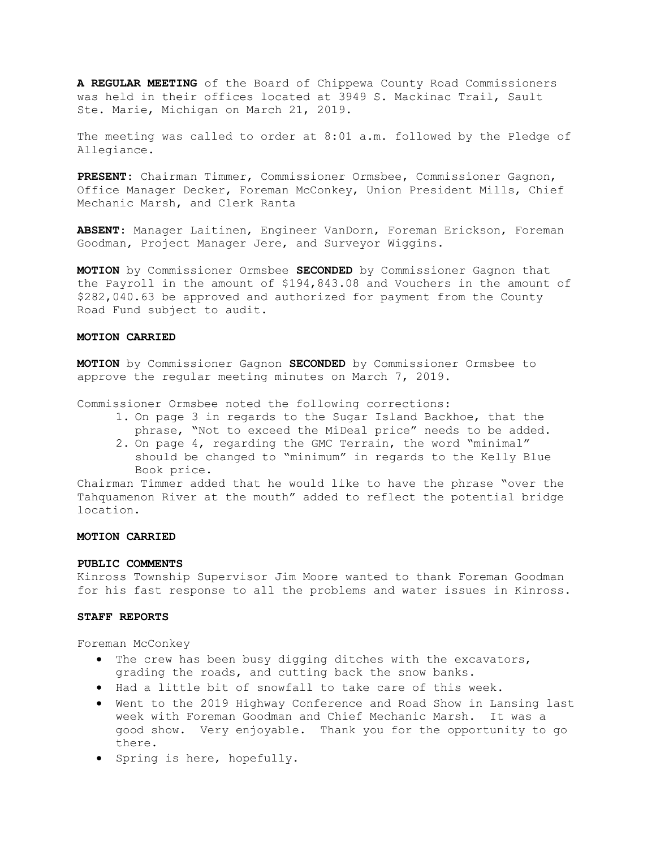A REGULAR MEETING of the Board of Chippewa County Road Commissioners was held in their offices located at 3949 S. Mackinac Trail, Sault Ste. Marie, Michigan on March 21, 2019.

The meeting was called to order at 8:01 a.m. followed by the Pledge of Allegiance.

PRESENT: Chairman Timmer, Commissioner Ormsbee, Commissioner Gagnon, Office Manager Decker, Foreman McConkey, Union President Mills, Chief Mechanic Marsh, and Clerk Ranta

ABSENT: Manager Laitinen, Engineer VanDorn, Foreman Erickson, Foreman Goodman, Project Manager Jere, and Surveyor Wiggins.

MOTION by Commissioner Ormsbee SECONDED by Commissioner Gagnon that the Payroll in the amount of \$194,843.08 and Vouchers in the amount of \$282,040.63 be approved and authorized for payment from the County Road Fund subject to audit.

## MOTION CARRIED

MOTION by Commissioner Gagnon SECONDED by Commissioner Ormsbee to approve the regular meeting minutes on March 7, 2019.

Commissioner Ormsbee noted the following corrections:

- 1. On page 3 in regards to the Sugar Island Backhoe, that the phrase, "Not to exceed the MiDeal price" needs to be added.
- 2. On page 4, regarding the GMC Terrain, the word "minimal" should be changed to "minimum" in regards to the Kelly Blue Book price.

Chairman Timmer added that he would like to have the phrase "over the Tahquamenon River at the mouth" added to reflect the potential bridge location.

## MOTION CARRIED

#### PUBLIC COMMENTS

Kinross Township Supervisor Jim Moore wanted to thank Foreman Goodman for his fast response to all the problems and water issues in Kinross.

## STAFF REPORTS

Foreman McConkey

- The crew has been busy digging ditches with the excavators, grading the roads, and cutting back the snow banks.
- Had a little bit of snowfall to take care of this week.
- Went to the 2019 Highway Conference and Road Show in Lansing last week with Foreman Goodman and Chief Mechanic Marsh. It was a good show. Very enjoyable. Thank you for the opportunity to go there.
- Spring is here, hopefully.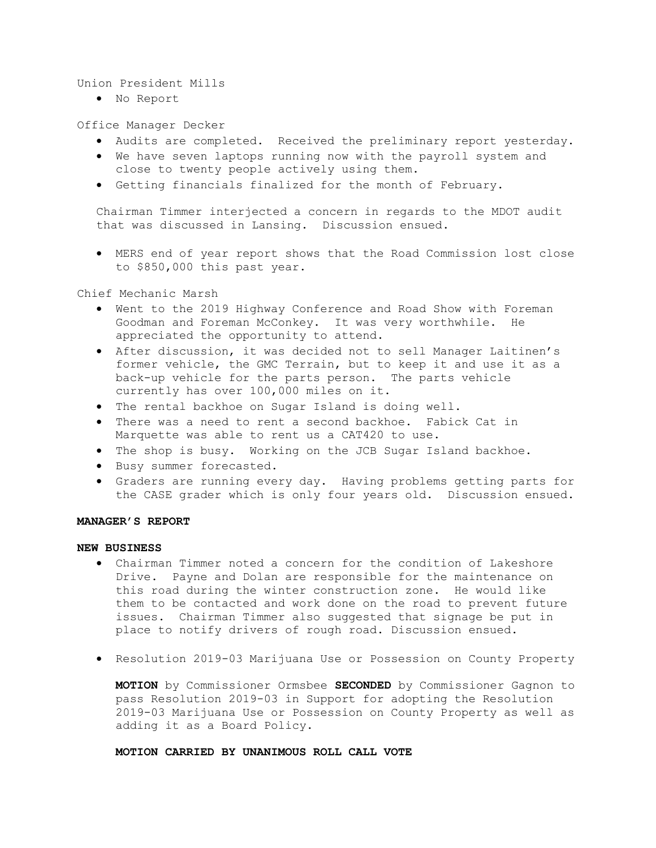## Union President Mills

No Report

## Office Manager Decker

- Audits are completed. Received the preliminary report yesterday.
- We have seven laptops running now with the payroll system and close to twenty people actively using them.
- Getting financials finalized for the month of February.

Chairman Timmer interjected a concern in regards to the MDOT audit that was discussed in Lansing. Discussion ensued.

 MERS end of year report shows that the Road Commission lost close to \$850,000 this past year.

Chief Mechanic Marsh

- Went to the 2019 Highway Conference and Road Show with Foreman Goodman and Foreman McConkey. It was very worthwhile. He appreciated the opportunity to attend.
- After discussion, it was decided not to sell Manager Laitinen's former vehicle, the GMC Terrain, but to keep it and use it as a back-up vehicle for the parts person. The parts vehicle currently has over 100,000 miles on it.
- The rental backhoe on Sugar Island is doing well.
- There was a need to rent a second backhoe. Fabick Cat in Marquette was able to rent us a CAT420 to use.
- The shop is busy. Working on the JCB Sugar Island backhoe.
- · Busy summer forecasted.
- Graders are running every day. Having problems getting parts for the CASE grader which is only four years old. Discussion ensued.

# MANAGER'S REPORT

## NEW BUSINESS

- Chairman Timmer noted a concern for the condition of Lakeshore Drive. Payne and Dolan are responsible for the maintenance on this road during the winter construction zone. He would like them to be contacted and work done on the road to prevent future issues. Chairman Timmer also suggested that signage be put in place to notify drivers of rough road. Discussion ensued.
- Resolution 2019-03 Marijuana Use or Possession on County Property

MOTION by Commissioner Ormsbee SECONDED by Commissioner Gagnon to pass Resolution 2019-03 in Support for adopting the Resolution 2019-03 Marijuana Use or Possession on County Property as well as adding it as a Board Policy.

#### MOTION CARRIED BY UNANIMOUS ROLL CALL VOTE